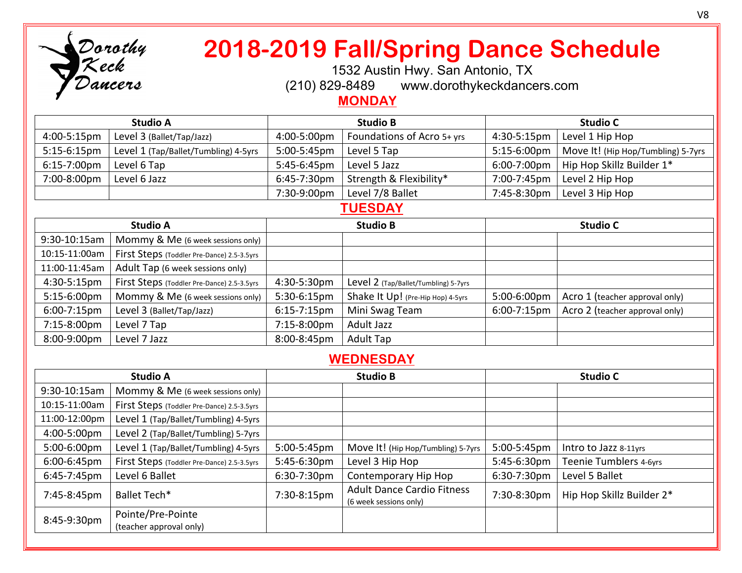

# **2018-2019 Fall/Spring Dance Schedule**

1532 Austin Hwy. San Antonio, TX

(210) 829-8489 www.dorothykeckdancers.com

### **MONDAY**

| <b>Studio A</b> |                                      | <b>Studio B</b> |                            | <b>Studio C</b> |                                    |
|-----------------|--------------------------------------|-----------------|----------------------------|-----------------|------------------------------------|
| 4:00-5:15pm     | Level 3 (Ballet/Tap/Jazz)            | 4:00-5:00pm     | Foundations of Acro 5+ yrs | 4:30-5:15pm     | Level 1 Hip Hop                    |
| $5:15-6:15$ pm  | Level 1 (Tap/Ballet/Tumbling) 4-5yrs | 5:00-5:45pm     | Level 5 Tap                | $5:15-6:00$ pm  | Move It! (Hip Hop/Tumbling) 5-7yrs |
| 6:15-7:00pm     | Level 6 Tap                          | 5:45-6:45pm     | Level 5 Jazz               | 6:00-7:00pm     | Hip Hop Skillz Builder 1*          |
| 7:00-8:00pm     | Level 6 Jazz                         | 6:45-7:30pm     | Strength & Flexibility*    | 7:00-7:45pm     | Level 2 Hip Hop                    |
|                 |                                      | 7:30-9:00pm     | Level 7/8 Ballet           | 7:45-8:30pm     | Level 3 Hip Hop                    |

#### **TUESDAY**

| <b>Studio A</b>  |                                            | <b>Studio B</b>  |                                      | <b>Studio C</b> |                                |
|------------------|--------------------------------------------|------------------|--------------------------------------|-----------------|--------------------------------|
| 9:30-10:15am     | Mommy & Me (6 week sessions only)          |                  |                                      |                 |                                |
| 10:15-11:00am    | First Steps (Toddler Pre-Dance) 2.5-3.5yrs |                  |                                      |                 |                                |
| 11:00-11:45am    | Adult Tap (6 week sessions only)           |                  |                                      |                 |                                |
| 4:30-5:15pm      | First Steps (Toddler Pre-Dance) 2.5-3.5yrs | 4:30-5:30pm      | Level 2 (Tap/Ballet/Tumbling) 5-7yrs |                 |                                |
| 5:15-6:00pm      | Mommy & Me (6 week sessions only)          | 5:30-6:15pm      | Shake It Up! (Pre-Hip Hop) 4-5yrs    | 5:00-6:00pm     | Acro 1 (teacher approval only) |
| $6:00 - 7:15$ pm | Level 3 (Ballet/Tap/Jazz)                  | $6:15 - 7:15$ pm | Mini Swag Team                       | 6:00-7:15pm     | Acro 2 (teacher approval only) |
| 7:15-8:00pm      | Level 7 Tap                                | 7:15-8:00pm      | Adult Jazz                           |                 |                                |
| 8:00-9:00pm      | Level 7 Jazz                               | 8:00-8:45pm      | <b>Adult Tap</b>                     |                 |                                |

## **WEDNESDAY**

| <b>Studio A</b> |                                              | <b>Studio B</b> |                                                             | <b>Studio C</b> |                           |
|-----------------|----------------------------------------------|-----------------|-------------------------------------------------------------|-----------------|---------------------------|
| 9:30-10:15am    | Mommy & Me (6 week sessions only)            |                 |                                                             |                 |                           |
| 10:15-11:00am   | First Steps (Toddler Pre-Dance) 2.5-3.5yrs   |                 |                                                             |                 |                           |
| 11:00-12:00pm   | Level 1 (Tap/Ballet/Tumbling) 4-5yrs         |                 |                                                             |                 |                           |
| 4:00-5:00pm     | Level 2 (Tap/Ballet/Tumbling) 5-7yrs         |                 |                                                             |                 |                           |
| 5:00-6:00pm     | Level 1 (Tap/Ballet/Tumbling) 4-5yrs         | 5:00-5:45pm     | Move It! (Hip Hop/Tumbling) 5-7yrs                          | 5:00-5:45pm     | Intro to Jazz 8-11yrs     |
| 6:00-6:45pm     | First Steps (Toddler Pre-Dance) 2.5-3.5yrs   | 5:45-6:30pm     | Level 3 Hip Hop                                             | 5:45-6:30pm     | Teenie Tumblers 4-6yrs    |
| 6:45-7:45pm     | Level 6 Ballet                               | 6:30-7:30pm     | Contemporary Hip Hop                                        | 6:30-7:30pm     | Level 5 Ballet            |
| 7:45-8:45pm     | Ballet Tech*                                 | 7:30-8:15pm     | <b>Adult Dance Cardio Fitness</b><br>(6 week sessions only) | 7:30-8:30pm     | Hip Hop Skillz Builder 2* |
| 8:45-9:30pm     | Pointe/Pre-Pointe<br>(teacher approval only) |                 |                                                             |                 |                           |